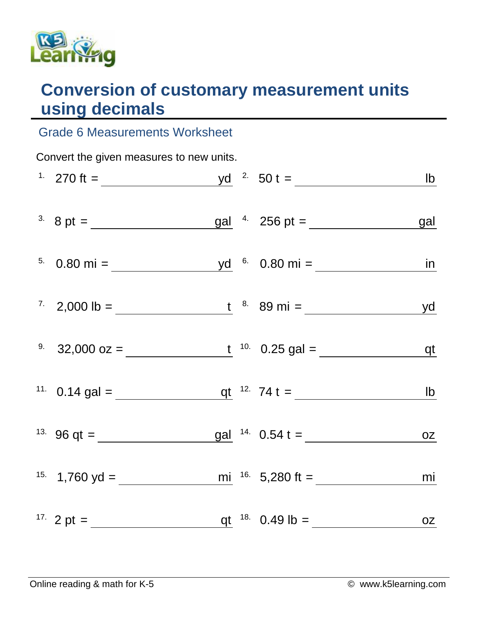

## **Conversion of customary measurement units using decimals**

## Grade 6 Measurements Worksheet

| Convert the given measures to new units. |  |  |  |                                                                                                                                                                                                                                                                                                                                                                                                               |    |  |  |  |
|------------------------------------------|--|--|--|---------------------------------------------------------------------------------------------------------------------------------------------------------------------------------------------------------------------------------------------------------------------------------------------------------------------------------------------------------------------------------------------------------------|----|--|--|--|
|                                          |  |  |  |                                                                                                                                                                                                                                                                                                                                                                                                               |    |  |  |  |
|                                          |  |  |  | <sup>3.</sup> 8 pt = $\frac{gal}{\sqrt{3}}$ 8 pt = $\frac{gal}{\sqrt{3}}$ 4. 256 pt = $\frac{gal}{\sqrt{3}}$                                                                                                                                                                                                                                                                                                  |    |  |  |  |
|                                          |  |  |  |                                                                                                                                                                                                                                                                                                                                                                                                               |    |  |  |  |
|                                          |  |  |  |                                                                                                                                                                                                                                                                                                                                                                                                               |    |  |  |  |
|                                          |  |  |  | <sup>9</sup> 32,000 oz = $\frac{t}{10}$ 10 0.25 gal = $\frac{dt}{10}$                                                                                                                                                                                                                                                                                                                                         |    |  |  |  |
|                                          |  |  |  | <sup>11</sup> 0.14 gal = $q t$ <sup>12</sup> 74 t = <u>lb</u>                                                                                                                                                                                                                                                                                                                                                 |    |  |  |  |
|                                          |  |  |  | <sup>13.</sup> 96 qt = $\frac{13.66 \text{ qt}}{25.66 \text{ qt}} = \frac{14.66 \text{ rad/s}}{25.66 \text{ qt}} = \frac{14.66 \text{ rad/s}}{25.66 \text{ qt}} = \frac{14.66 \text{ rad/s}}{25.66 \text{ rad/s}} = \frac{14.66 \text{ rad/s}}{25.66 \text{ rad/s}} = \frac{14.66 \text{ rad/s}}{25.66 \text{ rad/s}} = \frac{14.66 \text{ rad/s}}{25.66 \text{ rad/s}} = \frac{14.66 \text{ rad/s}}{25.66 \$ |    |  |  |  |
|                                          |  |  |  |                                                                                                                                                                                                                                                                                                                                                                                                               | mi |  |  |  |
|                                          |  |  |  |                                                                                                                                                                                                                                                                                                                                                                                                               |    |  |  |  |